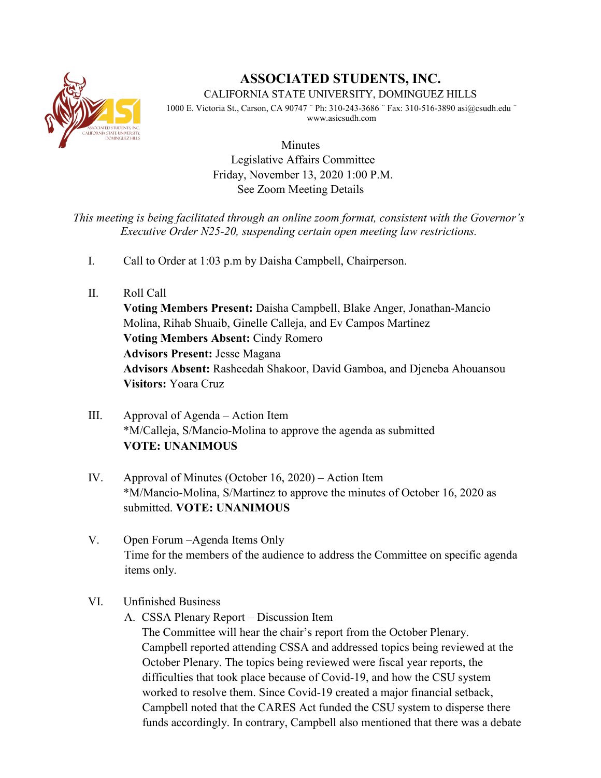

# **ASSOCIATED STUDENTS, INC.**

CALIFORNIA STATE UNIVERSITY, DOMINGUEZ HILLS

1000 E. Victoria St., Carson, CA 90747 ¨ Ph: 310-243-3686 ¨ Fax: 310-516-3890 asi@csudh.edu ¨ www.asicsudh.com

> Minutes Legislative Affairs Committee Friday, November 13, 2020 1:00 P.M. See Zoom Meeting Details

## *This meeting is being facilitated through an online zoom format, consistent with the Governor's Executive Order N25-20, suspending certain open meeting law restrictions.*

- I. Call to Order at 1:03 p.m by Daisha Campbell, Chairperson.
- II. Roll Call

**Voting Members Present:** Daisha Campbell, Blake Anger, Jonathan-Mancio Molina, Rihab Shuaib, Ginelle Calleja, and Ev Campos Martinez **Voting Members Absent:** Cindy Romero **Advisors Present:** Jesse Magana **Advisors Absent:** Rasheedah Shakoor, David Gamboa, and Djeneba Ahouansou **Visitors:** Yoara Cruz

- III. Approval of Agenda Action Item \*M/Calleja, S/Mancio-Molina to approve the agenda as submitted **VOTE: UNANIMOUS**
- IV. Approval of Minutes (October 16, 2020) Action Item \*M/Mancio-Molina, S/Martinez to approve the minutes of October 16, 2020 as submitted. **VOTE: UNANIMOUS**
- V. Open Forum –Agenda Items Only Time for the members of the audience to address the Committee on specific agenda items only.

## VI. Unfinished Business

A. CSSA Plenary Report – Discussion Item

The Committee will hear the chair's report from the October Plenary. Campbell reported attending CSSA and addressed topics being reviewed at the October Plenary. The topics being reviewed were fiscal year reports, the difficulties that took place because of Covid-19, and how the CSU system worked to resolve them. Since Covid-19 created a major financial setback, Campbell noted that the CARES Act funded the CSU system to disperse there funds accordingly. In contrary, Campbell also mentioned that there was a debate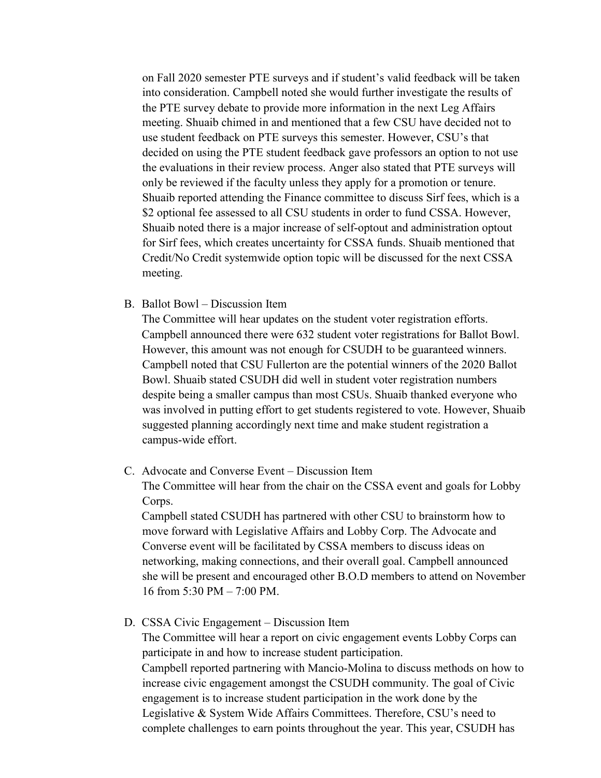on Fall 2020 semester PTE surveys and if student's valid feedback will be taken into consideration. Campbell noted she would further investigate the results of the PTE survey debate to provide more information in the next Leg Affairs meeting. Shuaib chimed in and mentioned that a few CSU have decided not to use student feedback on PTE surveys this semester. However, CSU's that decided on using the PTE student feedback gave professors an option to not use the evaluations in their review process. Anger also stated that PTE surveys will only be reviewed if the faculty unless they apply for a promotion or tenure. Shuaib reported attending the Finance committee to discuss Sirf fees, which is a \$2 optional fee assessed to all CSU students in order to fund CSSA. However, Shuaib noted there is a major increase of self-optout and administration optout for Sirf fees, which creates uncertainty for CSSA funds. Shuaib mentioned that Credit/No Credit systemwide option topic will be discussed for the next CSSA meeting.

B. Ballot Bowl – Discussion Item

The Committee will hear updates on the student voter registration efforts. Campbell announced there were 632 student voter registrations for Ballot Bowl. However, this amount was not enough for CSUDH to be guaranteed winners. Campbell noted that CSU Fullerton are the potential winners of the 2020 Ballot Bowl. Shuaib stated CSUDH did well in student voter registration numbers despite being a smaller campus than most CSUs. Shuaib thanked everyone who was involved in putting effort to get students registered to vote. However, Shuaib suggested planning accordingly next time and make student registration a campus-wide effort.

C. Advocate and Converse Event – Discussion Item

The Committee will hear from the chair on the CSSA event and goals for Lobby Corps.

Campbell stated CSUDH has partnered with other CSU to brainstorm how to move forward with Legislative Affairs and Lobby Corp. The Advocate and Converse event will be facilitated by CSSA members to discuss ideas on networking, making connections, and their overall goal. Campbell announced she will be present and encouraged other B.O.D members to attend on November 16 from 5:30 PM – 7:00 PM.

D. CSSA Civic Engagement – Discussion Item

The Committee will hear a report on civic engagement events Lobby Corps can participate in and how to increase student participation. Campbell reported partnering with Mancio-Molina to discuss methods on how to

increase civic engagement amongst the CSUDH community. The goal of Civic engagement is to increase student participation in the work done by the Legislative & System Wide Affairs Committees. Therefore, CSU's need to complete challenges to earn points throughout the year. This year, CSUDH has